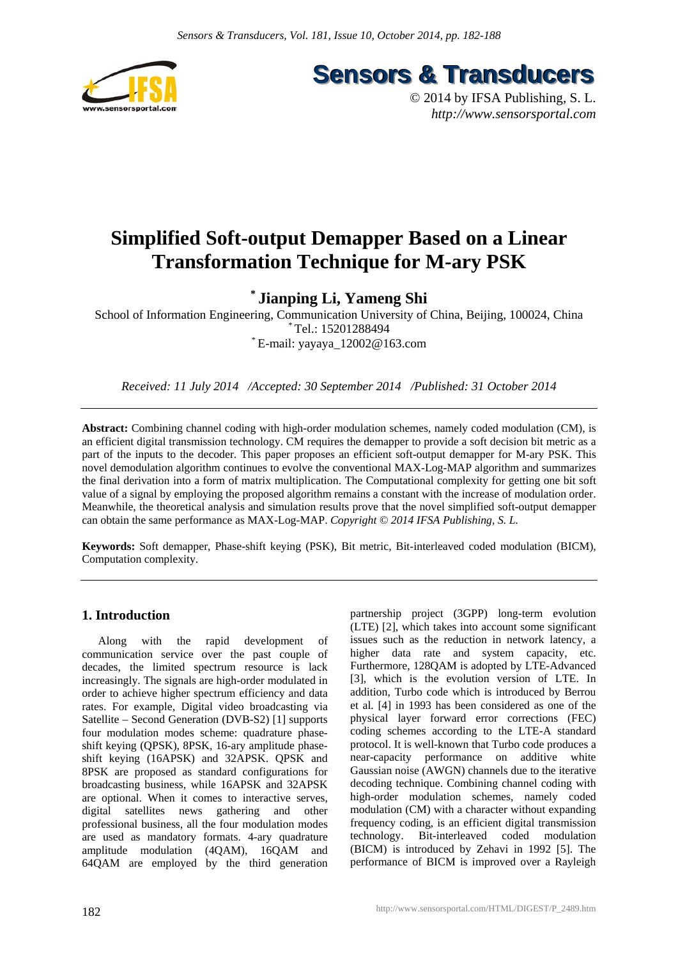

**Sensors & Transducers** 

© 2014 by IFSA Publishing, S. L. *http://www.sensorsportal.com*

# **Simplified Soft-output Demapper Based on a Linear Transformation Technique for M-ary PSK**

**\* Jianping Li, Yameng Shi** 

School of Information Engineering, Communication University of China, Beijing, 100024, China Tel.: 15201288494  $E$ -mail: yayaya  $12002@163$ .com

*Received: 11 July 2014 /Accepted: 30 September 2014 /Published: 31 October 2014* 

**Abstract:** Combining channel coding with high-order modulation schemes, namely coded modulation (CM), is an efficient digital transmission technology. CM requires the demapper to provide a soft decision bit metric as a part of the inputs to the decoder. This paper proposes an efficient soft-output demapper for M-ary PSK. This novel demodulation algorithm continues to evolve the conventional MAX-Log-MAP algorithm and summarizes the final derivation into a form of matrix multiplication. The Computational complexity for getting one bit soft value of a signal by employing the proposed algorithm remains a constant with the increase of modulation order. Meanwhile, the theoretical analysis and simulation results prove that the novel simplified soft-output demapper can obtain the same performance as MAX-Log-MAP. *Copyright © 2014 IFSA Publishing, S. L.*

**Keywords:** Soft demapper, Phase-shift keying (PSK), Bit metric, Bit-interleaved coded modulation (BICM), Computation complexity.

# **1. Introduction**

Along with the rapid development of communication service over the past couple of decades, the limited spectrum resource is lack increasingly. The signals are high-order modulated in order to achieve higher spectrum efficiency and data rates. For example, Digital video broadcasting via Satellite – Second Generation (DVB-S2) [1] supports four modulation modes scheme: quadrature phaseshift keying (QPSK), 8PSK, 16-ary amplitude phaseshift keying (16APSK) and 32APSK. QPSK and 8PSK are proposed as standard configurations for broadcasting business, while 16APSK and 32APSK are optional. When it comes to interactive serves, digital satellites news gathering and other professional business, all the four modulation modes are used as mandatory formats. 4-ary quadrature amplitude modulation (4QAM), 16QAM and 64QAM are employed by the third generation

partnership project (3GPP) long-term evolution (LTE) [2], which takes into account some significant issues such as the reduction in network latency, a higher data rate and system capacity, etc. Furthermore, 128QAM is adopted by LTE-Advanced [3], which is the evolution version of LTE. In addition, Turbo code which is introduced by Berrou et al. [4] in 1993 has been considered as one of the physical layer forward error corrections (FEC) coding schemes according to the LTE-A standard protocol. It is well-known that Turbo code produces a near-capacity performance on additive white Gaussian noise (AWGN) channels due to the iterative decoding technique. Combining channel coding with high-order modulation schemes, namely coded modulation (CM) with a character without expanding frequency coding, is an efficient digital transmission technology. Bit-interleaved coded modulation (BICM) is introduced by Zehavi in 1992 [5]. The performance of BICM is improved over a Rayleigh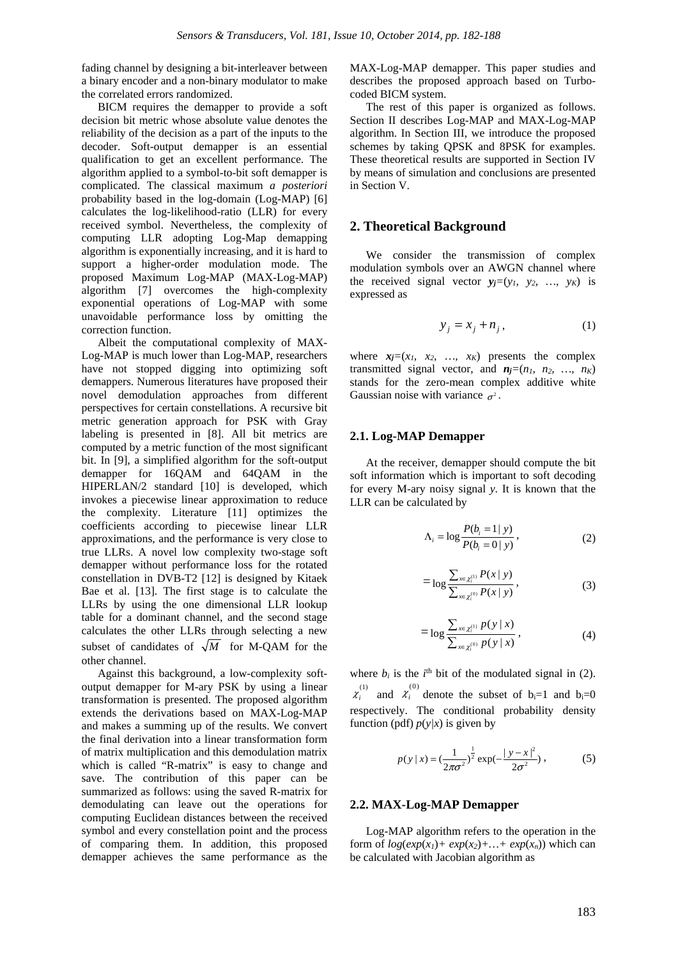fading channel by designing a bit-interleaver between a binary encoder and a non-binary modulator to make the correlated errors randomized.

BICM requires the demapper to provide a soft decision bit metric whose absolute value denotes the reliability of the decision as a part of the inputs to the decoder. Soft-output demapper is an essential qualification to get an excellent performance. The algorithm applied to a symbol-to-bit soft demapper is complicated. The classical maximum *a posteriori*  probability based in the log-domain (Log-MAP) [6] calculates the log-likelihood-ratio (LLR) for every received symbol. Nevertheless, the complexity of computing LLR adopting Log-Map demapping algorithm is exponentially increasing, and it is hard to support a higher-order modulation mode. The proposed Maximum Log-MAP (MAX-Log-MAP) algorithm [7] overcomes the high-complexity exponential operations of Log-MAP with some unavoidable performance loss by omitting the correction function.

Albeit the computational complexity of MAX-Log-MAP is much lower than Log-MAP, researchers have not stopped digging into optimizing soft demappers. Numerous literatures have proposed their novel demodulation approaches from different perspectives for certain constellations. A recursive bit metric generation approach for PSK with Gray labeling is presented in [8]. All bit metrics are computed by a metric function of the most significant bit. In [9], a simplified algorithm for the soft-output demapper for 16QAM and 64QAM in the HIPERLAN/2 standard [10] is developed, which invokes a piecewise linear approximation to reduce the complexity. Literature [11] optimizes the coefficients according to piecewise linear LLR approximations, and the performance is very close to true LLRs. A novel low complexity two-stage soft demapper without performance loss for the rotated constellation in DVB-T2 [12] is designed by Kitaek Bae et al. [13]. The first stage is to calculate the LLRs by using the one dimensional LLR lookup table for a dominant channel, and the second stage calculates the other LLRs through selecting a new subset of candidates of  $\sqrt{M}$  for M-QAM for the other channel.

Against this background, a low-complexity softoutput demapper for M-ary PSK by using a linear transformation is presented. The proposed algorithm extends the derivations based on MAX-Log-MAP and makes a summing up of the results. We convert the final derivation into a linear transformation form of matrix multiplication and this demodulation matrix which is called "R-matrix" is easy to change and save. The contribution of this paper can be summarized as follows: using the saved R-matrix for demodulating can leave out the operations for computing Euclidean distances between the received symbol and every constellation point and the process of comparing them. In addition, this proposed demapper achieves the same performance as the

MAX-Log-MAP demapper. This paper studies and describes the proposed approach based on Turbocoded BICM system.

The rest of this paper is organized as follows. Section II describes Log-MAP and MAX-Log-MAP algorithm. In Section III, we introduce the proposed schemes by taking QPSK and 8PSK for examples. These theoretical results are supported in Section IV by means of simulation and conclusions are presented in Section V.

# **2. Theoretical Background**

We consider the transmission of complex modulation symbols over an AWGN channel where the received signal vector  $y_j=(y_1, y_2, ..., y_K)$  is expressed as

$$
y_j = x_j + n_j, \tag{1}
$$

where  $x_j=(x_1, x_2, ..., x_K)$  presents the complex transmitted signal vector, and  $n_j=(n_1, n_2, ..., n_K)$ stands for the zero-mean complex additive white Gaussian noise with variance  $\sigma^2$ .

#### **2.1. Log-MAP Demapper**

At the receiver, demapper should compute the bit soft information which is important to soft decoding for every M-ary noisy signal *y*. It is known that the LLR can be calculated by

$$
\Lambda_i = \log \frac{P(b_i = 1 | y)}{P(b_i = 0 | y)},
$$
\n(2)

$$
= \log \frac{\sum_{x \in \chi_i^{(1)}} P(x \mid y)}{\sum_{x \in \chi_i^{(0)}} P(x \mid y)}, \qquad (3)
$$

$$
= \log \frac{\sum_{x \in \chi_1^{(1)}} p(y \mid x)}{\sum_{x \in \chi_1^{(0)}} p(y \mid x)}, \tag{4}
$$

where  $b_i$  is the  $i^{\text{th}}$  bit of the modulated signal in (2).  $\chi_i^{(1)}$  and  $\chi_i^{(0)}$  denote the subset of b<sub>i</sub>=1 and b<sub>i</sub>=0 respectively. The conditional probability density function (pdf)  $p(y|x)$  is given by

$$
p(y \mid x) = \left(\frac{1}{2\pi\sigma^2}\right)^{\frac{1}{2}} \exp\left(-\frac{|y - x|^2}{2\sigma^2}\right),\tag{5}
$$

# **2.2. MAX-Log-MAP Demapper**

Log-MAP algorithm refers to the operation in the form of  $log(exp(x_1) + exp(x_2) + ... + exp(x_n))$  which can be calculated with Jacobian algorithm as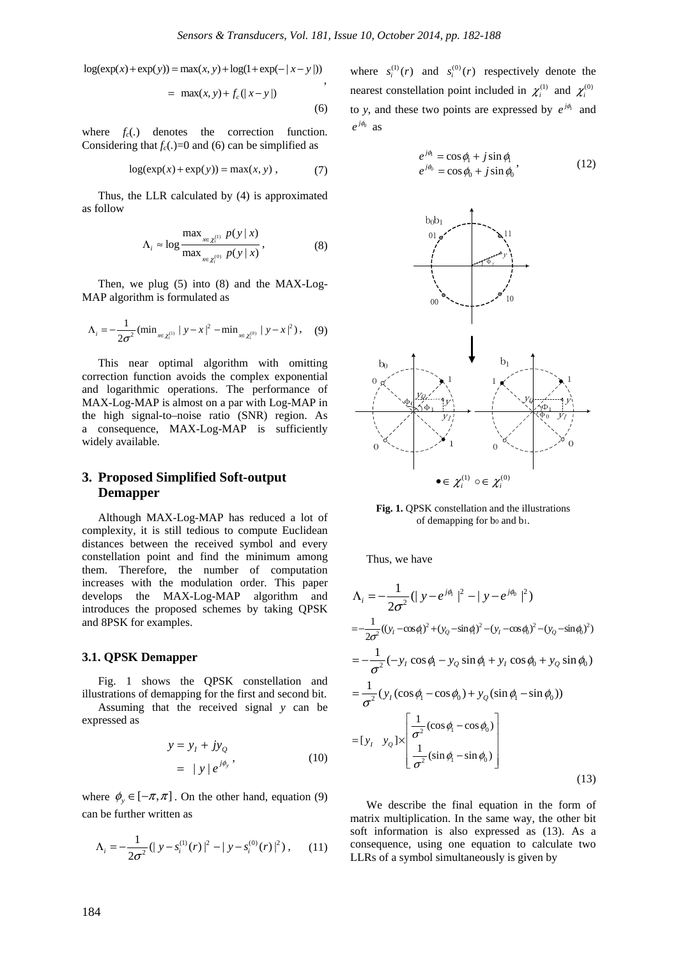$log(exp(x) + exp(y)) = max(x, y) + log(1 + exp(-|x - y|))$ ,

$$
= \max(x, y) + f_c(|x - y|)
$$
\n(6)

where  $f_c(.)$  denotes the correction function. Considering that  $f_c(.)=0$  and (6) can be simplified as

$$
log(exp(x) + exp(y)) = max(x, y), \qquad (7)
$$

Thus, the LLR calculated by (4) is approximated as follow

$$
\Lambda_{i} \approx \log \frac{\max_{x \in \chi_{i}^{(1)}} p(y | x)}{\max_{x \in \chi_{i}^{(0)}} p(y | x)},
$$
\n(8)

Then, we plug (5) into (8) and the MAX-Log-MAP algorithm is formulated as

$$
\Lambda_{i} = -\frac{1}{2\sigma^{2}} \left( \min_{x \in \chi_{i}^{(1)}} |y - x|^{2} - \min_{x \in \chi_{i}^{(0)}} |y - x|^{2} \right), \quad (9)
$$

This near optimal algorithm with omitting correction function avoids the complex exponential and logarithmic operations. The performance of MAX-Log-MAP is almost on a par with Log-MAP in the high signal-to–noise ratio (SNR) region. As a consequence, MAX-Log-MAP is sufficiently widely available.

# **3. Proposed Simplified Soft-output Demapper**

Although MAX-Log-MAP has reduced a lot of complexity, it is still tedious to compute Euclidean distances between the received symbol and every constellation point and find the minimum among them. Therefore, the number of computation increases with the modulation order. This paper develops the MAX-Log-MAP algorithm and introduces the proposed schemes by taking QPSK and 8PSK for examples.

#### **3.1. QPSK Demapper**

Fig. 1 shows the QPSK constellation and illustrations of demapping for the first and second bit. Assuming that the received signal *y* can be expressed as

$$
y = y_t + jy_Q
$$
  
=  $|y|e^{j\phi_y}$ , (10)

where  $\phi_y \in [-\pi, \pi]$ . On the other hand, equation (9) can be further written as

$$
\Lambda_{i} = -\frac{1}{2\sigma^{2}} \left( \left| y - s_{i}^{(1)}(r) \right|^{2} - \left| y - s_{i}^{(0)}(r) \right|^{2} \right), \quad (11)
$$

where  $s_i^{(1)}(r)$  and  $s_i^{(0)}(r)$  respectively denote the nearest constellation point included in  $\chi_i^{(1)}$  and  $\chi_i^{(0)}$ to *y*, and these two points are expressed by  $e^{j\phi}$  and  $e^{j\phi_0}$  as

$$
e^{j\phi_1} = \cos\phi_1 + j\sin\phi_1
$$
  
\n
$$
e^{j\phi_1} = \cos\phi_0 + j\sin\phi_0
$$
, (12)



**Fig. 1.** QPSK constellation and the illustrations of demapping for  $b_0$  and  $b_1$ .

Thus, we have

$$
\Lambda_{i} = -\frac{1}{2\sigma^{2}} (|y - e^{j\phi_{i}}|^{2} - |y - e^{j\phi_{i}}|^{2})
$$
  
=  $-\frac{1}{2\sigma^{2}} ((y_{i} - \cos\phi_{i})^{2} + (y_{o} - \sin\phi_{i})^{2} - (y_{i} - \cos\phi_{i})^{2} - (y_{o} - \sin\phi_{i})^{2})$   
=  $-\frac{1}{\sigma^{2}} (-y_{i} \cos\phi_{i} - y_{o} \sin\phi_{i} + y_{i} \cos\phi_{i} + y_{o} \sin\phi_{i})$   
=  $\frac{1}{\sigma^{2}} (y_{i} (\cos\phi_{i} - \cos\phi_{i}) + y_{o} (\sin\phi_{i} - \sin\phi_{i}))$   
=  $[y_{i} \quad y_{o}] \times \left[ \frac{1}{\sigma^{2}} (\cos\phi_{i} - \cos\phi_{i}) \right]$   
=  $[y_{i} \quad y_{o}] \times \left[ \frac{1}{\sigma^{2}} (\sin\phi_{i} - \sin\phi_{i}) \right]$  (13)

We describe the final equation in the form of matrix multiplication. In the same way, the other bit soft information is also expressed as (13). As a consequence, using one equation to calculate two LLRs of a symbol simultaneously is given by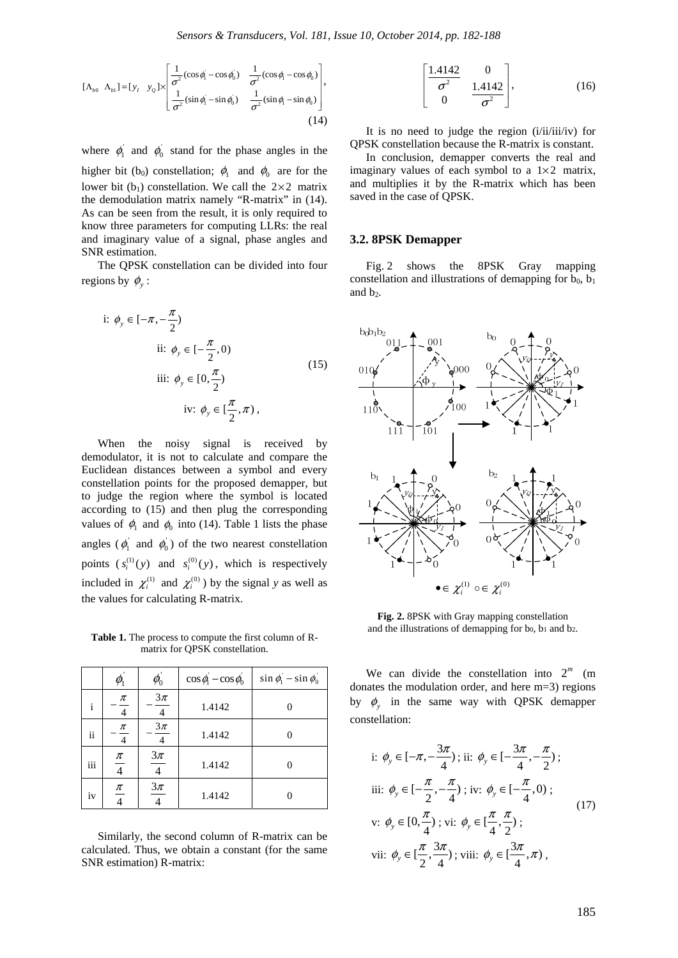$$
[\Lambda_{b0} \ \Lambda_{b1}] = [y_I \ y_Q] \times \begin{bmatrix} \frac{1}{\sigma^2} (\cos \phi_1 - \cos \phi_0) & \frac{1}{\sigma^2} (\cos \phi_1 - \cos \phi_0) \\ \frac{1}{\sigma^2} (\sin \phi_1 - \sin \phi_0) & \frac{1}{\sigma^2} (\sin \phi_1 - \sin \phi_0) \end{bmatrix},
$$
(14)

where  $\phi_1$  and  $\phi_0$  stand for the phase angles in the

higher bit (b<sub>0</sub>) constellation;  $\phi_1$  and  $\phi_0$  are for the lower bit (b<sub>1</sub>) constellation. We call the  $2 \times 2$  matrix the demodulation matrix namely "R-matrix" in (14). As can be seen from the result, it is only required to know three parameters for computing LLRs: the real and imaginary value of a signal, phase angles and SNR estimation.

The QPSK constellation can be divided into four regions by  $\phi$ <sub>*y*</sub>:

i: 
$$
\phi_y \in [-\pi, -\frac{\pi}{2})
$$
  
\nii:  $\phi_y \in [-\frac{\pi}{2}, 0)$   
\niii:  $\phi_y \in [0, \frac{\pi}{2})$   
\niv:  $\phi_y \in [\frac{\pi}{2}, \pi)$ ,

When the noisy signal is received by demodulator, it is not to calculate and compare the Euclidean distances between a symbol and every constellation points for the proposed demapper, but to judge the region where the symbol is located according to (15) and then plug the corresponding values of  $\phi_1$  and  $\phi_0$  into (14). Table 1 lists the phase angles ( $\phi_1$  and  $\phi_0$ ) of the two nearest constellation points  $(s_i^{(1)}(y)$  and  $s_i^{(0)}(y)$ , which is respectively included in  $\chi_i^{(1)}$  and  $\chi_i^{(0)}$  ) by the signal *y* as well as the values for calculating R-matrix.

**Table 1.** The process to compute the first column of Rmatrix for QPSK constellation.

|                     |                         | $\pmb{\varphi}_{\!0}$    | $\cos \phi_1 - \cos \phi_0$ | $\sin \phi_1 - \sin \phi_0$ |
|---------------------|-------------------------|--------------------------|-----------------------------|-----------------------------|
| i                   | $\pi$<br>$\overline{4}$ | $3\pi$<br>$\overline{4}$ | 1.4142                      |                             |
| $\ddot{\mathbf{i}}$ | $\pi$<br>$\overline{4}$ | $3\pi$<br>$\overline{4}$ | 1.4142                      |                             |
| iii                 | $\underline{\pi}$       | $3\pi$                   | 1.4142                      |                             |
| iv                  | $\pi$                   | $3\pi$                   | 1.4142                      |                             |

Similarly, the second column of R-matrix can be calculated. Thus, we obtain a constant (for the same SNR estimation) R-matrix:

$$
\begin{bmatrix} 1.4142 & 0 \\ \hline \sigma^2 & 1.4142 \\ 0 & \sigma^2 \end{bmatrix},
$$
 (16)

It is no need to judge the region (i/ii/iii/iv) for QPSK constellation because the R-matrix is constant.

In conclusion, demapper converts the real and imaginary values of each symbol to a  $1\times 2$  matrix, and multiplies it by the R-matrix which has been saved in the case of QPSK.

### **3.2. 8PSK Demapper**

Fig. 2 shows the 8PSK Gray mapping constellation and illustrations of demapping for  $b_0$ ,  $b_1$ and  $b_2$ .



**Fig. 2.** 8PSK with Gray mapping constellation and the illustrations of demapping for  $b_0$ ,  $b_1$  and  $b_2$ .

We can divide the constellation into  $2^m$  (m) donates the modulation order, and here m=3) regions by  $\phi$ <sub>v</sub> in the same way with QPSK demapper constellation:

i: 
$$
\phi_y \in [-\pi, -\frac{3\pi}{4});
$$
 ii:  $\phi_y \in [-\frac{3\pi}{4}, -\frac{\pi}{2});$   
\niii:  $\phi_y \in [-\frac{\pi}{2}, -\frac{\pi}{4});$  iv:  $\phi_y \in [-\frac{\pi}{4}, 0);$   
\nv:  $\phi_y \in [0, \frac{\pi}{4});$  vi:  $\phi_y \in [\frac{\pi}{4}, \frac{\pi}{2});$   
\nvii:  $\phi_y \in [\frac{\pi}{2}, \frac{3\pi}{4});$  viii:  $\phi_y \in [\frac{3\pi}{4}, \pi),$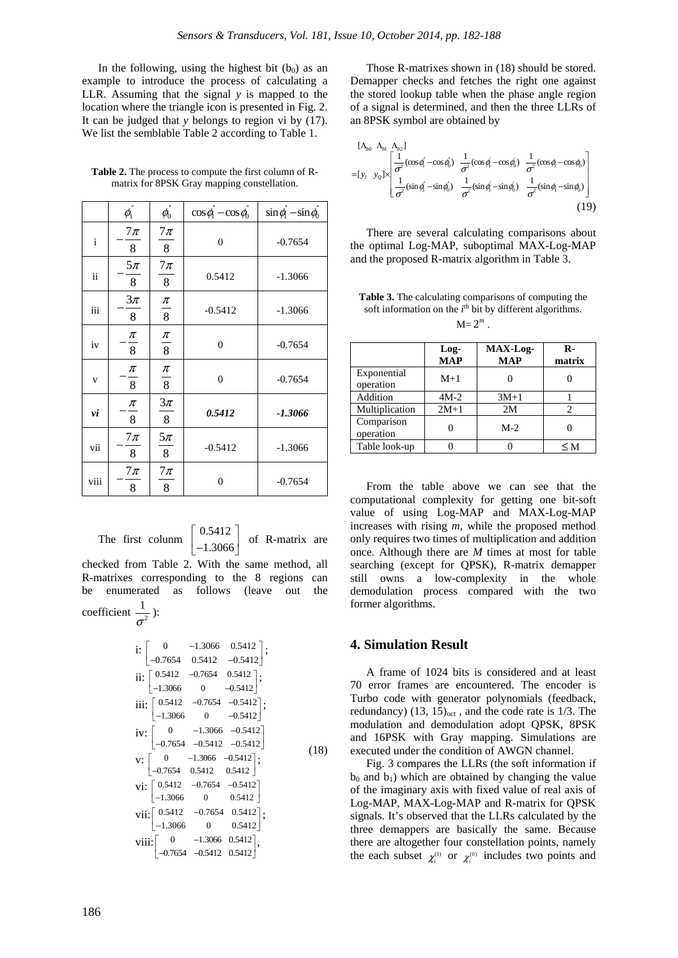In the following, using the highest bit  $(b_0)$  as an example to introduce the process of calculating a LLR. Assuming that the signal *y* is mapped to the location where the triangle icon is presented in Fig. 2. It can be judged that *y* belongs to region vi by (17). We list the semblable Table 2 according to Table 1.

**Table 2.** The process to compute the first column of Rmatrix for 8PSK Gray mapping constellation.

|              | $\phi_{\rm l}^{\cdot}$ | $\phi_0^{\cdot}$                  | $\cos \phi_1 - \cos \phi_0$ | $\sin \phi - \sin \phi_0$ |
|--------------|------------------------|-----------------------------------|-----------------------------|---------------------------|
| $\mathbf{i}$ | $7\pi$<br>8            | $7\pi$<br>8                       | $\mathbf{0}$                | $-0.7654$                 |
| ii           | $5\pi$<br>8            | $7\pi$<br>8                       | 0.5412                      | $-1.3066$                 |
| iii          | $3\pi$<br>8            | $\frac{\pi}{ }$<br>$\overline{8}$ | $-0.5412$                   | $-1.3066$                 |
| iv           | π<br>8                 | $\frac{\pi}{8}$                   | $\boldsymbol{0}$            | $-0.7654$                 |
| V            | $\pi$<br>8             | $\frac{\pi}{8}$                   | $\boldsymbol{0}$            | $-0.7654$                 |
| νi           | π<br>8                 | $3\pi$<br>8                       | 0.5412                      | $-1.3066$                 |
| vii          | $7\pi$<br>8            | $5\pi$<br>8                       | $-0.5412$                   | $-1.3066$                 |
| viii         | $7\pi$<br>8            | $7\pi$<br>8                       | $\boldsymbol{0}$            | $-0.7654$                 |

The first colunm  $\left\lceil \begin{array}{c} 0.5412 \end{array} \right\rceil$ 1.3066 of R-matrix are checked from Table 2. With the same method, all R-matrixes corresponding to the 8 regions can be enumerated as follows (leave out the coefficient  $\frac{1}{\tau^2}$  $\frac{1}{\sigma^2}$ ):

i: 
$$
\begin{bmatrix} 0 & -1.3066 & 0.5412 \\ -0.7654 & 0.5412 & -0.5412 \end{bmatrix};
$$
ii: 
$$
\begin{bmatrix} 0.5412 & -0.7654 & 0.5412 \\ -1.3066 & 0 & -0.5412 \end{bmatrix};
$$
iii: 
$$
\begin{bmatrix} 0.5412 & -0.7654 & -0.5412 \\ -1.3066 & 0 & -0.5412 \end{bmatrix};
$$
iv: 
$$
\begin{bmatrix} 0 & -1.3066 & -0.5412 \\ -0.7654 & -0.5412 & -0.5412 \end{bmatrix}
$$
vi: 
$$
\begin{bmatrix} 0 & -1.3066 & -0.5412 \\ -0.7654 & 0.5412 & 0.5412 \end{bmatrix};
$$
vi: 
$$
\begin{bmatrix} 0.5412 & -0.7654 & -0.5412 \\ -1.3066 & 0 & 0.5412 \end{bmatrix};
$$
vi: 
$$
\begin{bmatrix} 0.5412 & -0.7654 & 0.5412 \\ -1.3066 & 0 & 0.5412 \\ -1.3066 & 0 & 0.5412 \end{bmatrix};
$$
viii: 
$$
\begin{bmatrix} 0 & -1.3066 & 0.5412 \\ -0.7654 & -0.5412 & 0.5412 \end{bmatrix},
$$
viiii: 
$$
\begin{bmatrix} 0 & -1.3066 & 0.5412 \\ -0.7654 & -0.5412 & 0.5412 \end{bmatrix}.
$$

Those R-matrixes shown in (18) should be stored. Demapper checks and fetches the right one against the stored lookup table when the phase angle region of a signal is determined, and then the three LLRs of an 8PSK symbol are obtained by

$$
\begin{bmatrix}\n\Lambda_{b0} & \Lambda_{b1} & \Lambda_{b2}\n\end{bmatrix}\n\begin{bmatrix}\n\frac{1}{\sigma^2}(\cos\phi_1 - \cos\phi_0) & \frac{1}{\sigma^2}(\cos\phi_1 - \cos\phi_0) & \frac{1}{\sigma^2}(\cos\phi_1 - \cos\phi_0) \\
\frac{1}{\sigma^2}(\sin\phi_1 - \sin\phi_0) & \frac{1}{\sigma^2}(\sin\phi_1 - \sin\phi_0) & \frac{1}{\sigma^2}(\sin\phi_1 - \sin\phi_0)\n\end{bmatrix}\n\tag{19}
$$

There are several calculating comparisons about the optimal Log-MAP, suboptimal MAX-Log-MAP and the proposed R-matrix algorithm in Table 3.

**Table 3.** The calculating comparisons of computing the soft information on the  $i<sup>th</sup>$  bit by different algorithms.

|  | u |
|--|---|

|                          | Log-<br><b>MAP</b> | MAX-Log-<br><b>MAP</b> | R-<br>matrix |
|--------------------------|--------------------|------------------------|--------------|
| Exponential<br>operation | $M+1$              |                        |              |
| Addition                 | $4M-2$             | $3M+1$                 |              |
| Multiplication           | $2M+1$             | 2M                     | 2            |
| Comparison<br>operation  |                    | $M-2$                  |              |
| Table look-up            |                    |                        | <м           |

From the table above we can see that the computational complexity for getting one bit-soft value of using Log-MAP and MAX-Log-MAP increases with rising *m,* while the proposed method only requires two times of multiplication and addition once. Although there are *M* times at most for table searching (except for QPSK), R-matrix demapper still owns a low-complexity in the whole demodulation process compared with the two former algorithms.

# **4. Simulation Result**

A frame of 1024 bits is considered and at least 70 error frames are encountered. The encoder is Turbo code with generator polynomials (feedback, redundancy)  $(13, 15)_{\text{oct}}$ , and the code rate is  $1/3$ . The modulation and demodulation adopt QPSK, 8PSK and 16PSK with Gray mapping. Simulations are executed under the condition of AWGN channel.

Fig. 3 compares the LLRs (the soft information if  $b_0$  and  $b_1$ ) which are obtained by changing the value of the imaginary axis with fixed value of real axis of Log-MAP, MAX-Log-MAP and R-matrix for QPSK signals. It's observed that the LLRs calculated by the three demappers are basically the same. Because there are altogether four constellation points, namely the each subset  $\chi_i^{(1)}$  or  $\chi_i^{(0)}$  includes two points and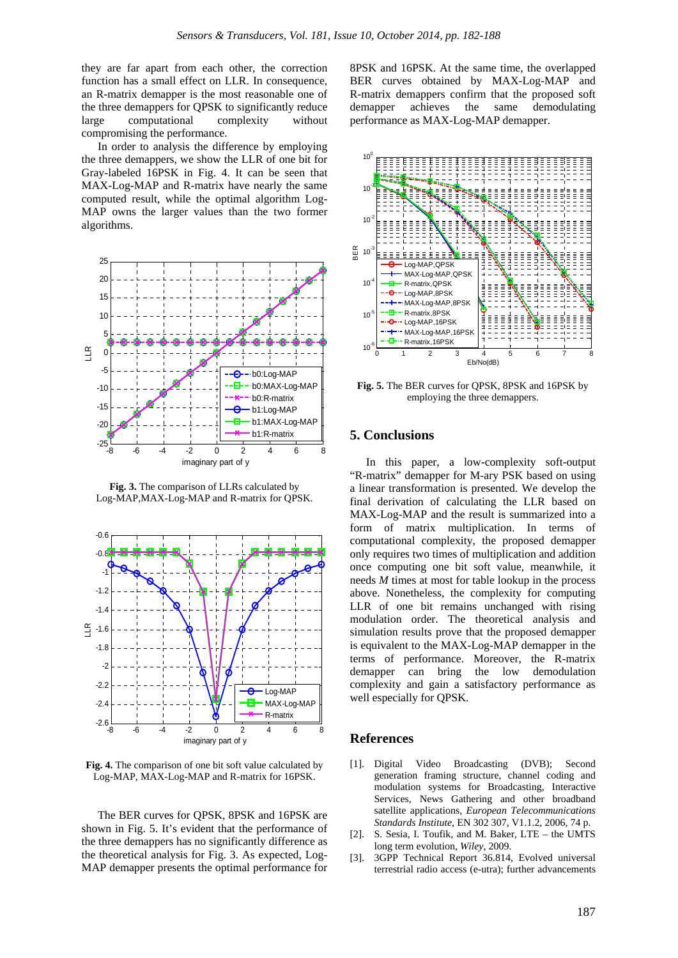they are far apart from each other, the correction function has a small effect on LLR. In consequence, an R-matrix demapper is the most reasonable one of the three demappers for QPSK to significantly reduce large computational complexity without compromising the performance.

In order to analysis the difference by employing the three demappers, we show the LLR of one bit for Gray-labeled 16PSK in Fig. 4. It can be seen that MAX-Log-MAP and R-matrix have nearly the same computed result, while the optimal algorithm Log-MAP owns the larger values than the two former algorithms.



**Fig. 3.** The comparison of LLRs calculated by Log-MAP,MAX-Log-MAP and R-matrix for QPSK.



**Fig. 4.** The comparison of one bit soft value calculated by Log-MAP, MAX-Log-MAP and R-matrix for 16PSK.

The BER curves for QPSK, 8PSK and 16PSK are shown in Fig. 5. It's evident that the performance of the three demappers has no significantly difference as the theoretical analysis for Fig. 3. As expected, Log-MAP demapper presents the optimal performance for

8PSK and 16PSK. At the same time, the overlapped BER curves obtained by MAX-Log-MAP and R-matrix demappers confirm that the proposed soft demapper achieves the same demodulating performance as MAX-Log-MAP demapper.



**Fig. 5.** The BER curves for QPSK, 8PSK and 16PSK by employing the three demappers.

# **5. Conclusions**

In this paper, a low-complexity soft-output "R-matrix" demapper for M-ary PSK based on using a linear transformation is presented. We develop the final derivation of calculating the LLR based on MAX-Log-MAP and the result is summarized into a form of matrix multiplication. In terms of computational complexity, the proposed demapper only requires two times of multiplication and addition once computing one bit soft value, meanwhile, it needs *M* times at most for table lookup in the process above. Nonetheless, the complexity for computing LLR of one bit remains unchanged with rising modulation order. The theoretical analysis and simulation results prove that the proposed demapper is equivalent to the MAX-Log-MAP demapper in the terms of performance. Moreover, the R-matrix demapper can bring the low demodulation complexity and gain a satisfactory performance as well especially for QPSK.

## **References**

- [1]. Digital Video Broadcasting (DVB); Second generation framing structure, channel coding and modulation systems for Broadcasting, Interactive Services, News Gathering and other broadband satellite applications, *European Telecommunications Standards Institute*, EN 302 307, V1.1.2, 2006, 74 p.
- [2]. S. Sesia, I. Toufik, and M. Baker, LTE the UMTS long term evolution, *Wiley*, 2009.
- [3]. 3GPP Technical Report 36.814, Evolved universal terrestrial radio access (e-utra); further advancements